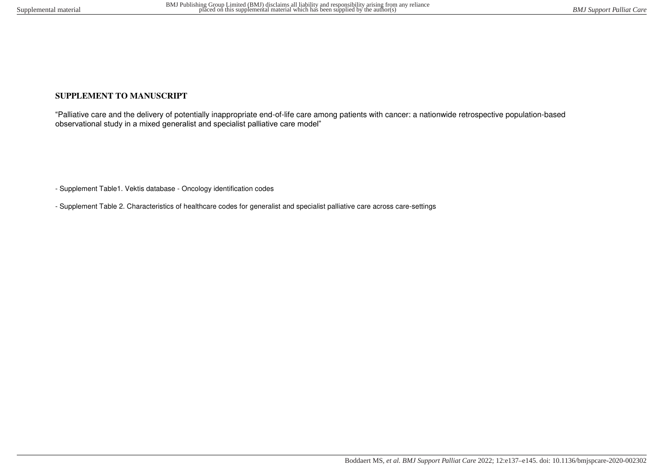## **SUPPLEMENT TO MANUSCRIPT**

"Palliative care and the delivery of potentially inappropriate end-of-life care among patients with cancer: a nationwide retrospective population-based observational study in a mixed generalist and specialist palliative care model"

- Supplement Table1. Vektis database - Oncology identification codes

- Supplement Table 2. Characteristics of healthcare codes for generalist and specialist palliative care across care-settings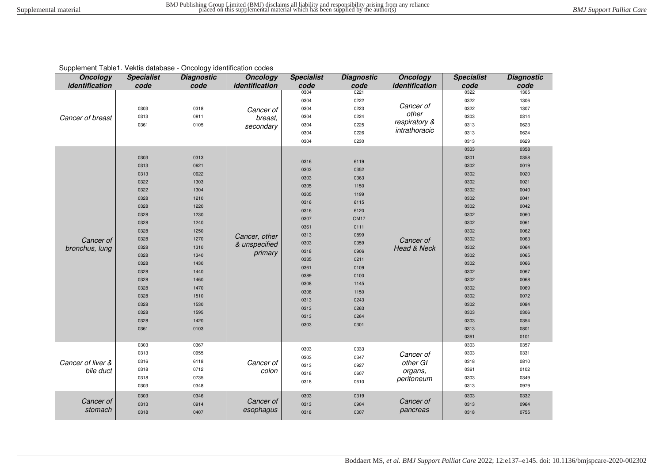|  |  | Supplement Table1. Vektis database - Oncology identification codes |
|--|--|--------------------------------------------------------------------|
|--|--|--------------------------------------------------------------------|

| <b>Oncology</b><br>identification | <b>Specialist</b><br>code | <b>Diagnostic</b><br>code | <b>Oncology</b><br>identification | <b>Specialist</b><br>code | <b>Diagnostic</b><br>code | <b>Oncology</b><br>identification       | <b>Specialist</b><br>code | <b>Diagnostic</b><br>code |
|-----------------------------------|---------------------------|---------------------------|-----------------------------------|---------------------------|---------------------------|-----------------------------------------|---------------------------|---------------------------|
|                                   |                           |                           |                                   | 0304                      | 0221                      |                                         | 0322                      | 1305                      |
| Cancer of breast                  |                           |                           |                                   | 0304                      | 0222                      |                                         | 0322                      | 1306                      |
|                                   | 0303                      | 0318                      | Cancer of<br>breast,              | 0304                      | 0223                      | Cancer of                               | 0322                      | 1307                      |
|                                   | 0313                      | 0811                      |                                   | 0304                      | 0224                      | other<br>respiratory &<br>intrathoracic | 0303                      | 0314                      |
|                                   | 0361                      | 0105                      | secondary                         | 0304                      | 0225                      |                                         | 0313                      | 0623                      |
|                                   |                           |                           |                                   | 0304                      | 0226                      |                                         | 0313                      | 0624                      |
|                                   |                           |                           |                                   | 0304                      | 0230                      |                                         | 0313                      | 0629                      |
|                                   |                           |                           |                                   |                           |                           |                                         | 0303                      | 0358                      |
|                                   | 0303                      | 0313                      |                                   | 0316                      | 6119                      |                                         | 0301                      | 0358                      |
|                                   | 0313                      | 0621                      |                                   | 0303                      | 0352                      |                                         | 0302                      | 0019                      |
|                                   | 0313                      | 0622                      |                                   | 0303                      | 0363                      |                                         | 0302                      | 0020                      |
|                                   | 0322                      | 1303                      |                                   | 0305                      | 1150                      |                                         | 0302                      | 0021                      |
|                                   | 0322                      | 1304                      |                                   | 0305                      | 1199                      |                                         | 0302                      | 0040                      |
|                                   | 0328                      | 1210                      |                                   | 0316                      | 6115                      |                                         | 0302                      | 0041                      |
|                                   | 0328                      | 1220                      |                                   | 0316                      | 6120                      |                                         | 0302                      | 0042                      |
|                                   | 0328                      | 1230                      |                                   | 0307                      | OM <sub>17</sub>          |                                         | 0302                      | 0060                      |
|                                   | 0328                      | 1240                      |                                   | 0361                      | 0111                      |                                         | 0302                      | 0061                      |
| Cancer of                         | 0328                      | 1250                      |                                   | 0313                      | 0899                      |                                         | 0302                      | 0062                      |
|                                   | 0328                      | 1270                      | Cancer, other                     | 0303                      | 0359                      | Cancer of<br>Head & Neck                | 0302                      | 0063                      |
| bronchus, lung                    | 0328                      | 1310                      | & unspecified                     | 0318                      | 0906                      |                                         | 0302                      | 0064                      |
|                                   | 0328                      | 1340                      | primary                           | 0335                      | 0211                      |                                         | 0302                      | 0065                      |
|                                   | 0328                      | 1430                      |                                   | 0361                      | 0109                      |                                         | 0302                      | 0066                      |
|                                   | 0328                      | 1440                      |                                   | 0389                      | 0100                      |                                         | 0302                      | 0067                      |
|                                   | 0328                      | 1460                      |                                   | 0308                      | 1145                      |                                         | 0302                      | 0068                      |
|                                   | 0328                      | 1470                      |                                   | 0308                      | 1150                      |                                         | 0302                      | 0069                      |
|                                   | 0328                      | 1510                      |                                   | 0313                      | 0243                      |                                         | 0302                      | 0072                      |
|                                   | 0328                      | 1530                      |                                   | 0313                      | 0263                      |                                         | 0302                      | 0084                      |
|                                   | 0328                      | 1595                      |                                   | 0313                      | 0264                      |                                         | 0303                      | 0306                      |
|                                   | 0328                      | 1420                      |                                   | 0303                      | 0301                      |                                         | 0303                      | 0354                      |
|                                   | 0361                      | 0103                      |                                   |                           |                           |                                         | 0313                      | 0801                      |
|                                   |                           |                           |                                   |                           |                           |                                         | 0361                      | 0101                      |
|                                   | 0303                      | 0367                      |                                   | 0303                      | 0333                      |                                         | 0303                      | 0357                      |
|                                   | 0313                      | 0955                      |                                   | 0303                      | 0347                      | Cancer of<br>other GI<br>organs,        | 0303                      | 0331                      |
| Cancer of liver &                 | 0316                      | 6118                      | Cancer of                         | 0313                      | 0927                      |                                         | 0318                      | 0810                      |
| bile duct                         | 0318                      | 0712                      | colon                             | 0318                      | 0607                      |                                         | 0361                      | 0102                      |
|                                   | 0318                      | 0735                      |                                   | 0318                      | 0610                      | peritoneum                              | 0303                      | 0349                      |
|                                   | 0303                      | 0348                      |                                   |                           |                           |                                         | 0313                      | 0979                      |
|                                   | 0303                      | 0346                      |                                   | 0303                      | 0319                      |                                         | 0303                      | 0332                      |
| Cancer of                         | 0313                      | 0914                      | Cancer of                         | 0313                      | 0904                      | Cancer of                               | 0313                      | 0964                      |
| stomach                           | 0318                      | 0407                      | esophagus                         | 0318                      | 0307                      | pancreas                                | 0318                      | 0755                      |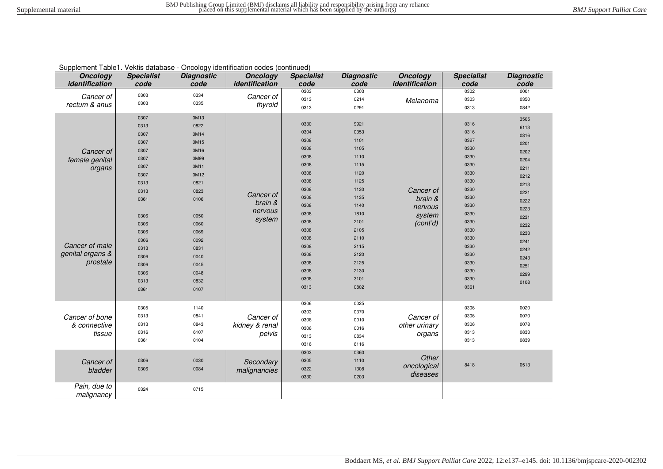| Cappionioni Table II Tonno adiabacc<br><b>Oncology</b><br>identification | <b>Specialist</b><br>code                                                            | <b>Diagnostic</b><br>code                                                            | shootogy radinmodeler coaco (commissa)<br><b>Oncology</b><br>identification | <b>Specialist</b><br>code                                                            | <b>Diagnostic</b><br>code                                                            | <b>Oncology</b><br>identification    | <b>Specialist</b><br>code                                                            | <b>Diagnostic</b><br>code                                                            |
|--------------------------------------------------------------------------|--------------------------------------------------------------------------------------|--------------------------------------------------------------------------------------|-----------------------------------------------------------------------------|--------------------------------------------------------------------------------------|--------------------------------------------------------------------------------------|--------------------------------------|--------------------------------------------------------------------------------------|--------------------------------------------------------------------------------------|
| Cancer of<br>rectum & anus                                               | 0303<br>0303                                                                         | 0334<br>0335                                                                         | Cancer of<br>thyroid                                                        | 0303<br>0313<br>0313                                                                 | 0303<br>0214<br>0291                                                                 | Melanoma                             | 0302<br>0303<br>0313                                                                 | 0001<br>0350<br>0842                                                                 |
| Cancer of<br>female genital<br>organs                                    | 0307<br>0313<br>0307<br>0307<br>0307<br>0307<br>0307<br>0307<br>0313<br>0313<br>0361 | 0M13<br>0822<br>0M14<br>0M15<br>0M16<br>0M99<br>0M11<br>0M12<br>0821<br>0823<br>0106 | Cancer of                                                                   | 0330<br>0304<br>0308<br>0308<br>0308<br>0308<br>0308<br>0308<br>0308<br>0308         | 9921<br>0353<br>1101<br>1105<br>1110<br>1115<br>1120<br>1125<br>1130<br>1135         | Cancer of<br>brain &                 | 0316<br>0316<br>0327<br>0330<br>0330<br>0330<br>0330<br>0330<br>0330<br>0330         | 3505<br>6113<br>0316<br>0201<br>0202<br>0204<br>0211<br>0212<br>0213<br>0221<br>0222 |
| Cancer of male<br>genital organs &<br>prostate                           | 0306<br>0306<br>0306<br>0306<br>0313<br>0306<br>0306<br>0306<br>0313<br>0361         | 0050<br>0060<br>0069<br>0092<br>0831<br>0040<br>0045<br>0048<br>0832<br>0107         | brain &<br>nervous<br>system                                                | 0308<br>0308<br>0308<br>0308<br>0308<br>0308<br>0308<br>0308<br>0308<br>0308<br>0313 | 1140<br>1810<br>2101<br>2105<br>2110<br>2115<br>2120<br>2125<br>2130<br>3101<br>0802 | nervous<br>system<br>(cont'd)        | 0330<br>0330<br>0330<br>0330<br>0330<br>0330<br>0330<br>0330<br>0330<br>0330<br>0361 | 0223<br>0231<br>0232<br>0233<br>0241<br>0242<br>0243<br>0251<br>0299<br>0108         |
| Cancer of bone<br>& connective<br>tissue                                 | 0305<br>0313<br>0313<br>0316<br>0361                                                 | 1140<br>0841<br>0843<br>6107<br>0104                                                 | Cancer of<br>kidney & renal<br>pelvis                                       | 0306<br>0303<br>0306<br>0306<br>0313<br>0316                                         | 0025<br>0370<br>0010<br>0016<br>0834<br>6116                                         | Cancer of<br>other urinary<br>organs | 0306<br>0306<br>0306<br>0313<br>0313                                                 | 0020<br>0070<br>0078<br>0833<br>0839                                                 |
| Cancer of<br>bladder                                                     | 0306<br>0306                                                                         | 0030<br>0084                                                                         | Secondary<br>malignancies                                                   | 0303<br>0305<br>0322<br>0330                                                         | 0360<br>1110<br>1308<br>0203                                                         | Other<br>oncological<br>diseases     | 8418                                                                                 | 0513                                                                                 |
| Pain, due to<br>malignancy                                               | 0324                                                                                 | 0715                                                                                 |                                                                             |                                                                                      |                                                                                      |                                      |                                                                                      |                                                                                      |

## Supplement Table1. Vektis database - Oncology identification codes (continued)